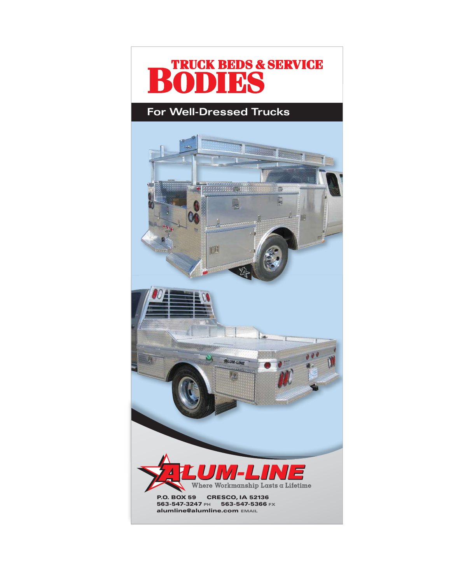

# **For Well-Dressed Trucks**

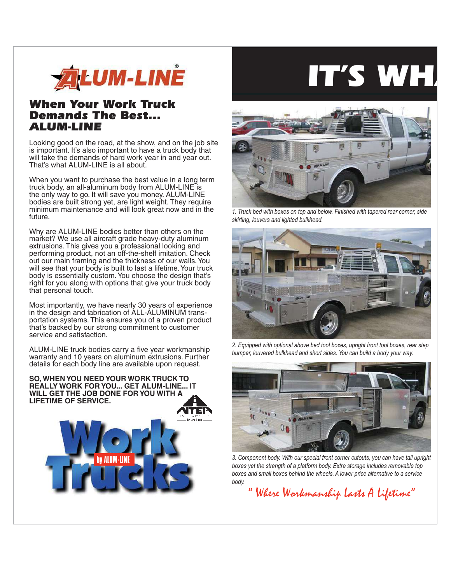

# *When Your Work Truck Demands The Best... ALUM-LINE*

Looking good on the road, at the show, and on the job site is important. It's also important to have a truck body that will take the demands of hard work year in and year out. That's what ALUM-LINE is all about.

When you want to purchase the best value in a long term truck body, an all-aluminum body from ALUM-LINE is the only way to go. It will save you money. ALUM-LINE bodies are built strong yet, are light weight. They require minimum maintenance and will look great now and in the future.

Why are ALUM-LINE bodies better than others on the market? We use all aircraft grade heavy-duty aluminum extrusions. This gives you a professional looking and performing product, not an off-the-shelf imitation. Check out our main framing and the thickness of our walls. You will see that your body is built to last a lifetime. Your truck body is essentially custom. You choose the design that's right for you along with options that give your truck body that personal touch.

Most importantly, we have nearly 30 years of experience in the design and fabrication of ALL-ALUMINUM transportation systems. This ensures you of a proven product that's backed by our strong commitment to customer service and satisfaction.

ALUM-LINE truck bodies carry a five year workmanship warranty and 10 years on aluminum extrusions. Further details for each body line are available upon request.

**SO, WHEN YOU NEED YOUR WORK TRUCK TO REALLY WORK FOR YOU... GET ALUM-LINE... IT WILL GET THE JOB DONE FOR YOU WITH A LIFETIME OF SERVICE.**







1. Truck bed with boxes on top and below. Finished with tapered rear corner, side skirting, louvers and lighted bulkhead.



2. Equipped with optional above bed tool boxes, upright front tool boxes, rear step bumper, louvered bulkhead and short sides. You can build a body your way.



3. Component body. With our special front corner cutouts, you can have tall upright boxes yet the strength of a platform body. Extra storage includes removable top boxes and small boxes behind the wheels. A lower price alternative to a service body.

"Where Workmanship Lasts A Lifetime"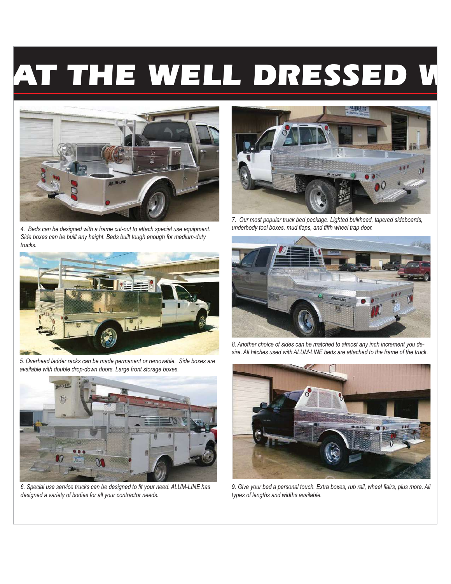# AT THE WELL DRESSED V



4. Beds can be designed with a frame cut-out to attach special use equipment. Side boxes can be built any height. Beds built tough enough for medium-duty trucks.



5. Overhead ladder racks can be made permanent or removable. Side boxes are available with double drop-down doors. Large front storage boxes.



6. Special use service trucks can be designed to fit your need. ALUM-LINE has designed a variety of bodies for all your contractor needs.



7. Our most popular truck bed package. Lighted bulkhead, tapered sideboards, underbody tool boxes, mud flaps, and fifth wheel trap door.



8. Another choice of sides can be matched to almost any inch increment you desire. All hitches used with ALUM-LINE beds are attached to the frame of the truck.



9. Give your bed a personal touch. Extra boxes, rub rail, wheel flairs, plus more. All types of lengths and widths available.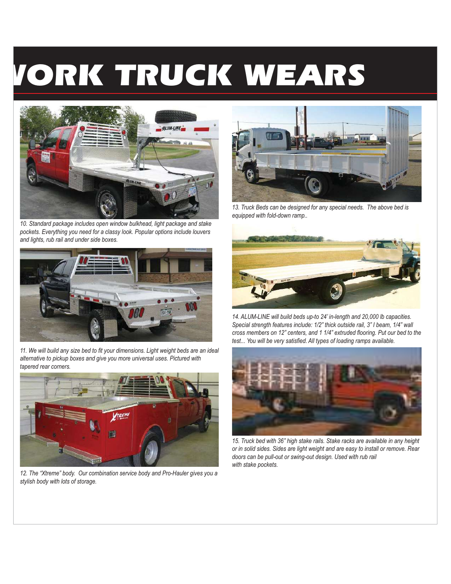# VORK TRUCK WEARS



10. Standard package includes open window bulkhead, light package and stake pockets. Everything you need for a classy look. Popular options include louvers and lights, rub rail and under side boxes.



11. We will build any size bed to fit your dimensions. Light weight beds are an ideal alternative to pickup boxes and give you more universal uses. Pictured with tapered rear corners.



12. The "Xtreme" body. Our combination service body and Pro-Hauler gives you a stylish body with lots of storage.



13. Truck Beds can be designed for any special needs. The above bed is equipped with fold-down ramp..



14. ALUM-LINE will build beds up-to 24' in-length and 20,000 lb capacities. Special strength features include: 1/2" thick outside rail, 3" I beam, 1/4" wall cross members on 12" centers, and 1 1/4" extruded flooring. Put our bed to the test... You will be very satisfied. All types of loading ramps available.



15. Truck bed with 36" high stake rails. Stake racks are available in any height or in solid sides. Sides are light weight and are easy to install or remove. Rear doors can be pull-out or swing-out design. Used with rub rail with stake pockets.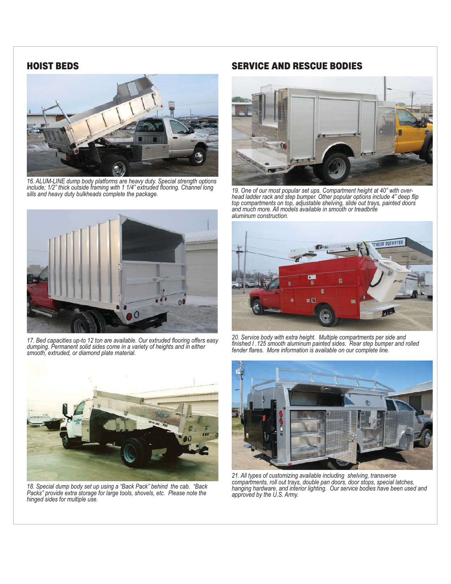#### **HOIST BEDS**



16. ALUM-LINE dump body platforms are heavy duty. Special strength options include; 1/2" thick outside framing with 1 1/4" extruded flooring. Channel long sills and heavy duty bulkheads complete the package.



17. Bed capacities up-to 12 ton are available. Our extruded flooring offers easy dumping. Permanent solid sides come in a variety of heights and in either smooth, extruded, or diamond plate material.



18. Special dump body set up using a "Back Pack" behind the cab. "Back Packs" provide extra storage for large tools, shovels, etc. Please note the hinged sides for multiple use.

## **SERVICE AND RESCUE BODIES**



19. One of our most popular set ups. Compartment height at 40" with overhead ladder rack and step bumper. Other popular options include 4" deep flip top compartments on top, adjustable shelving, slide out trays, painted do aluminum construction.



20. Service body with extra height. Multiple compartments per side and<br>finished I .125 smooth aluminum painted sides. Rear step bumper and rolled fender flares. More information is available on our complete line.



21. All types of customizing available including shelving, transverse compartments, roll out trays, double pan doors, door stops, special latches, hanging hardware, and interior lighting. Our service bodies have been used and approved by the U.S. Army.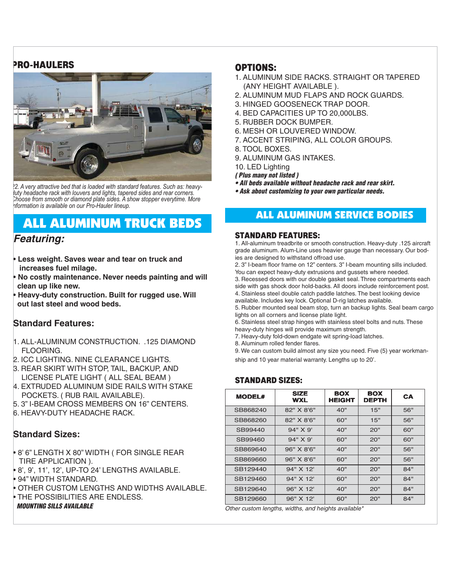# **PRO-HAULERS**



2. A very attractive bed that is loaded with standard features. Such as: heavy-*Luy* headache rack with louvers and lights, tapered sides and rear corners. Choose from smooth or diamond plate sides. A show stopper everytime. More *pformation is available on our Pro-Hauler lineup.* 

# **ALL ALUMINUM TRUCK BEDS**

# *Featuring:*

- **Less weight. Saves wear and tear on truck and increases fuel milage.**
- **No costly maintenance. Never needs painting and will clean up like new.**
- **Heavy-duty construction. Built for rugged use. Will out last steel and wood beds.**

#### **Standard Features:**

- 1. ALL-ALUMINUM CONSTRUCTION. .125 DIAMOND FLOORING.
- 2. ICC LIGHTING. NINE CLEARANCE LIGHTS.
- 3. REAR SKIRT WITH STOP, TAIL, BACKUP, AND LICENSE PLATE LIGHT ( ALL SEAL BEAM )
- 4. EXTRUDED ALUMINUM SIDE RAILS WITH STAKE POCKETS. ( RUB RAIL AVAILABLE).
- 5. 3" I-BEAM CROSS MEMBERS ON 16" CENTERS.
- 6. HEAVY-DUTY HEADACHE RACK.

# **Standard Sizes:**

- 8' 6" LENGTH X 80" WIDTH ( FOR SINGLE REAR TIRE APPLICATION ).
- 8', 9', 11', 12', UP-TO 24' LENGTHS AVAILABLE.
- 94" WIDTH STANDARD.
- OTHER CUSTOM LENGTHS AND WIDTHS AVAILABLE.
- THE POSSIBILITIES ARE ENDLESS.

*MOUNTING SILLS AVAILABLE*

## **OPTIONS:**

- 1. ALUMINUM SIDE RACKS. STRAIGHT OR TAPERED (ANY HEIGHT AVAILABLE ).
- 2. ALUMINUM MUD FLAPS AND ROCK GUARDS.
- 3. HINGED GOOSENECK TRAP DOOR.
- 4. BED CAPACITIES UP TO 20,000LBS.
- 5. RUBBER DOCK BUMPER.
- 6. MESH OR LOUVERED WINDOW.
- 7. ACCENT STRIPING, ALL COLOR GROUPS.
- 8. TOOL BOXES.
- 9. ALUMINUM GAS INTAKES.

10. LED Lighting

- *( Plus many not listed )*
- *All beds available without headache rack and rear skirt.*
- *Ask about customizing to your own particular needs.*

# ALL ALUMINUM SERVICE BODIES

### STANDARD FEATURES:

1. All-aluminum treadbrite or smooth construction. Heavy-duty .125 aircraft grade aluminum. Alum-Line uses heavier gauge than necessary. Our bodies are designed to withstand offroad use.

2. 3" I-beam floor frame on 12" centers. 3" I-beam mounting sills included. You can expect heavy-duty extrusions and gussets where needed.

3. Recessed doors with our double gasket seal. Three compartments each side with gas shock door hold-backs. All doors include reinforcement post. 4. Stainless steel double catch paddle latches. The best looking device

available. Includes key lock. Optional D-rig latches available. 5. Rubber mounted seal beam stop, turn an backup lights. Seal beam cargo

lights on all corners and license plate light. 6. Stainless steel strap hinges with stainless steel bolts and nuts. These

heavy-duty hinges will provide maximum strength.

7. Heavy-duty fold-down endgate wit spring-load latches.

8. Aluminum rolled fender flares.

9. We can custom build almost any size you need. Five (5) year workmanship and 10 year material warranty. Lengths up to 20'.

#### STANDARD SIZES:

| <b>MODEL#</b> | <b>SIZE</b><br><b>WXL</b> | <b>BOX</b><br><b>HEIGHT</b> | <b>BOX</b><br><b>DEPTH</b> | CA. |
|---------------|---------------------------|-----------------------------|----------------------------|-----|
| SB868240      | 82" X 8'6"                | 40"                         | 15"                        | 56" |
| SB868260      | 82" X 8'6"                | 60"                         | 15"                        | 56" |
| SB99440       | 94" X 9'                  | 40"                         | 20"                        | 60" |
| SB99460       | 94" X 9'                  | 60"                         | 20"                        | 60" |
| SB869640      | 96" X 8'6"                | 40"                         | 20"                        | 56" |
| SB869660      | 96" X 8'6"                | 60"                         | 20"                        | 56" |
| SB129440      | 94" X 12'                 | 40"                         | 20"                        | 84" |
| SB129460      | 94" X 12'                 | 60"                         | 20"                        | 84" |
| SB129640      | 96" X 12'                 | 40"                         | 20"                        | 84" |
| SB129660      | 96" X 12'                 | 60"                         | 20"                        | 84" |

Other custom lengths, widths, and heights available\*